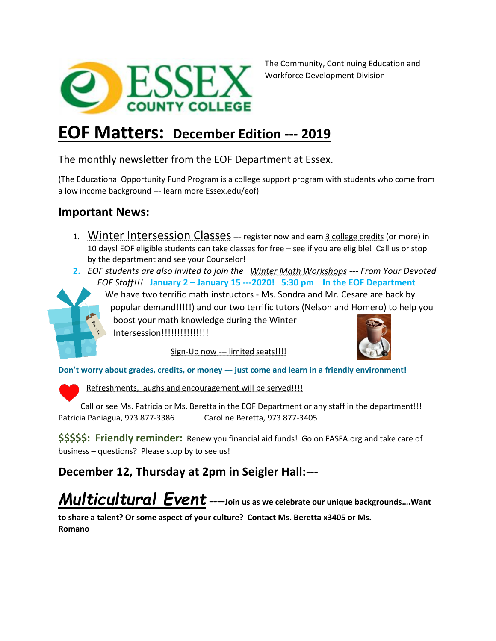

The Community, Continuing Education and Workforce Development Division

## **EOF Matters: December Edition --- 2019**

The monthly newsletter from the EOF Department at Essex.

(The Educational Opportunity Fund Program is a college support program with students who come from a low income background --- learn more Essex.edu/eof)

## **Important News:**

- 1. Winter Intersession Classes --- register now and earn 3 college credits (or more) in 10 days! EOF eligible students can take classes for free – see if you are eligible! Call us or stop by the department and see your Counselor!
- **2.** *EOF students are also invited to join the Winter Math Workshops --- From Your Devoted EOF Staff!!!* **January 2 – January 15 ---2020! 5:30 pm In the EOF Department**

We have two terrific math instructors - Ms. Sondra and Mr. Cesare are back by popular demand!!!!!) and our two terrific tutors (Nelson and Homero) to help you boost your math knowledge during the Winter Intersession!!!!!!!!!!!!!!!



Sign-Up now --- limited seats!!!!

**Don't worry about grades, credits, or money --- just come and learn in a friendly environment!**

Refreshments, laughs and encouragement will be served!!!!

Call or see Ms. Patricia or Ms. Beretta in the EOF Department or any staff in the department!!! Patricia Paniagua, 973 877-3386 Caroline Beretta, 973 877-3405

**\$\$\$\$\$: Friendly reminder:** Renew you financial aid funds! Go on FASFA.org and take care of business – questions? Please stop by to see us!

**December 12, Thursday at 2pm in Seigler Hall:---**

*Multicultural Event* **----Join us as we celebrate our unique backgrounds….Want** 

**to share a talent? Or some aspect of your culture? Contact Ms. Beretta x3405 or Ms. Romano**